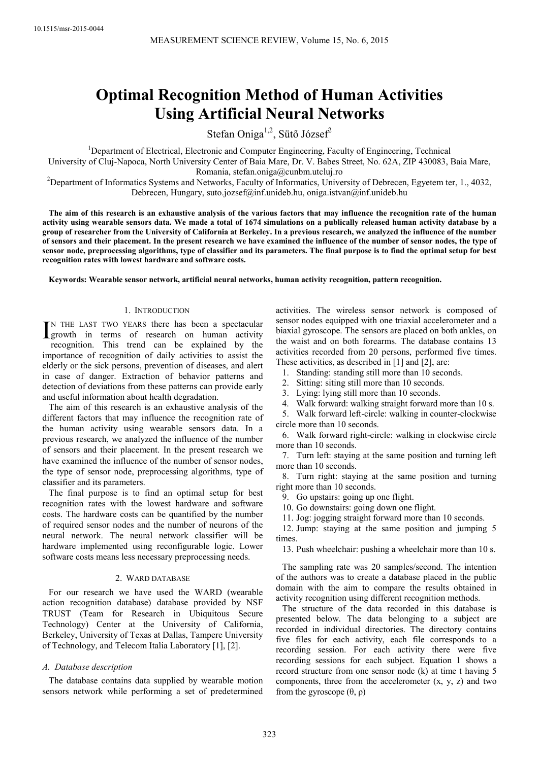# **Optimal Recognition Method of Human Activities Using Artificial Neural Networks**

Stefan Oniga<sup>1,2</sup>, Sütő József<sup>2</sup>

<sup>1</sup>Department of Electrical, Electronic and Computer Engineering, Faculty of Engineering, Technical University of Cluj-Napoca, North University Center of Baia Mare, Dr. V. Babes Street, No. 62A, ZIP 430083, Baia Mare, Romania, stefan.oniga@cunbm.utcluj.ro

<sup>2</sup>Department of Informatics Systems and Networks, Faculty of Informatics, University of Debrecen, Egyetem ter, 1., 4032, Debrecen, Hungary, suto.jozsef@inf.unideb.hu, oniga.istvan@inf.unideb.hu

**The aim of this research is an exhaustive analysis of the various factors that may influence the recognition rate of the human activity using wearable sensors data. We made a total of 1674 simulations on a publically released human activity database by a group of researcher from the University of California at Berkeley. In a previous research, we analyzed the influence of the number of sensors and their placement. In the present research we have examined the influence of the number of sensor nodes, the type of sensor node, preprocessing algorithms, type of classifier and its parameters. The final purpose is to find the optimal setup for best recognition rates with lowest hardware and software costs.** 

**Keywords: Wearable sensor network, artificial neural networks, human activity recognition, pattern recognition.** 

## 1. INTRODUCTION

N THE LAST TWO YEARS there has been a spectacular IN THE LAST TWO YEARS there has been a spectacular<br>growth in terms of research on human activity<br>researching This trand can be evaluated by the recognition. This trend can be explained by the importance of recognition of daily activities to assist the elderly or the sick persons, prevention of diseases, and alert in case of danger. Extraction of behavior patterns and detection of deviations from these patterns can provide early and useful information about health degradation.

The aim of this research is an exhaustive analysis of the different factors that may influence the recognition rate of the human activity using wearable sensors data. In a previous research, we analyzed the influence of the number of sensors and their placement. In the present research we have examined the influence of the number of sensor nodes, the type of sensor node, preprocessing algorithms, type of classifier and its parameters.

The final purpose is to find an optimal setup for best recognition rates with the lowest hardware and software costs. The hardware costs can be quantified by the number of required sensor nodes and the number of neurons of the neural network. The neural network classifier will be hardware implemented using reconfigurable logic. Lower software costs means less necessary preprocessing needs.

# 2. WARD DATABASE

For our research we have used the WARD (wearable action recognition database) database provided by NSF TRUST (Team for Research in Ubiquitous Secure Technology) Center at the University of California, Berkeley, University of Texas at Dallas, Tampere University of Technology, and Telecom Italia Laboratory [1], [2].

## *A. Database description*

The database contains data supplied by wearable motion sensors network while performing a set of predetermined activities. The wireless sensor network is composed of sensor nodes equipped with one triaxial accelerometer and a biaxial gyroscope. The sensors are placed on both ankles, on the waist and on both forearms. The database contains 13 activities recorded from 20 persons, performed five times. These activities, as described in [1] and [2], are:

- 1. Standing: standing still more than 10 seconds.
- 2. Sitting: siting still more than 10 seconds.
- 3. Lying: lying still more than 10 seconds.
- 4. Walk forward: walking straight forward more than 10 s.
- 5. Walk forward left-circle: walking in counter-clockwise circle more than 10 seconds.

6. Walk forward right-circle: walking in clockwise circle more than 10 seconds.

7. Turn left: staying at the same position and turning left more than 10 seconds.

8. Turn right: staying at the same position and turning right more than 10 seconds.

9. Go upstairs: going up one flight.

10. Go downstairs: going down one flight.

11. Jog: jogging straight forward more than 10 seconds.

12. Jump: staying at the same position and jumping 5 times.

13. Push wheelchair: pushing a wheelchair more than 10 s.

The sampling rate was 20 samples/second. The intention of the authors was to create a database placed in the public domain with the aim to compare the results obtained in activity recognition using different recognition methods.

The structure of the data recorded in this database is presented below. The data belonging to a subject are recorded in individual directories. The directory contains five files for each activity, each file corresponds to a recording session. For each activity there were five recording sessions for each subject. Equation 1 shows a record structure from one sensor node (k) at time t having 5 components, three from the accelerometer  $(x, y, z)$  and two from the gyroscope  $(θ, ρ)$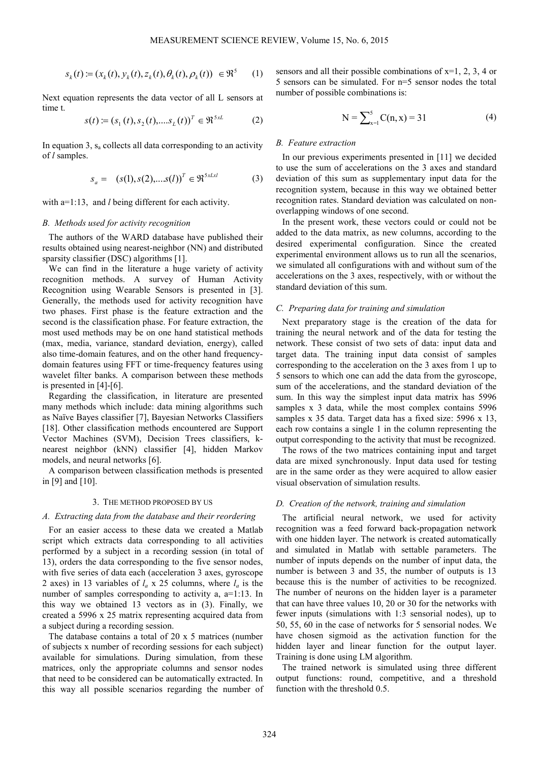$$
s_k(t) := (x_k(t), y_k(t), z_k(t), \theta_k(t), \rho_k(t)) \in \mathfrak{R}^5 \qquad (1)
$$

Next equation represents the data vector of all L sensors at time t.

$$
s(t) := (s_1(t), s_2(t), \dots s_L(t))^T \in \mathfrak{R}^{5xL}
$$
 (2)

In equation  $3$ ,  $s_a$  collects all data corresponding to an activity of *l* samples.

$$
s_a = (s(1), s(2), \dots s(l))^T \in \Re^{5xLxl} \tag{3}
$$

with a=1:13, and *l* being different for each activity.

## *B. Methods used for activity recognition*

The authors of the WARD database have published their results obtained using nearest-neighbor (NN) and distributed sparsity classifier (DSC) algorithms [1].

We can find in the literature a huge variety of activity recognition methods. A survey of Human Activity Recognition using Wearable Sensors is presented in [3]. Generally, the methods used for activity recognition have two phases. First phase is the feature extraction and the second is the classification phase. For feature extraction, the most used methods may be on one hand statistical methods (max, media, variance, standard deviation, energy), called also time-domain features, and on the other hand frequencydomain features using FFT or time-frequency features using wavelet filter banks. A comparison between these methods is presented in [4]-[6].

Regarding the classification, in literature are presented many methods which include: data mining algorithms such as Naïve Bayes classifier [7], Bayesian Networks Classifiers [18]. Other classification methods encountered are Support Vector Machines (SVM), Decision Trees classifiers, knearest neighbor (kNN) classifier [4], hidden Markov models, and neural networks [6].

A comparison between classification methods is presented in [9] and [10].

#### 3. THE METHOD PROPOSED BY US

#### *A. Extracting data from the database and their reordering*

For an easier access to these data we created a Matlab script which extracts data corresponding to all activities performed by a subject in a recording session (in total of 13), orders the data corresponding to the five sensor nodes, with five series of data each (acceleration 3 axes, gyroscope 2 axes) in 13 variables of  $l_a$  x 25 columns, where  $l_a$  is the number of samples corresponding to activity a, a=1:13. In this way we obtained 13 vectors as in (3). Finally, we created a 5996 x 25 matrix representing acquired data from a subject during a recording session.

The database contains a total of 20 x 5 matrices (number of subjects x number of recording sessions for each subject) available for simulations. During simulation, from these matrices, only the appropriate columns and sensor nodes that need to be considered can be automatically extracted. In this way all possible scenarios regarding the number of sensors and all their possible combinations of  $x=1, 2, 3, 4$  or 5 sensors can be simulated. For n=5 sensor nodes the total number of possible combinations is:

$$
N = \sum_{x=1}^{5} C(n, x) = 31
$$
 (4)

## *B. Feature extraction*

In our previous experiments presented in [11] we decided to use the sum of accelerations on the 3 axes and standard deviation of this sum as supplementary input data for the recognition system, because in this way we obtained better recognition rates. Standard deviation was calculated on nonoverlapping windows of one second.

In the present work, these vectors could or could not be added to the data matrix, as new columns, according to the desired experimental configuration. Since the created experimental environment allows us to run all the scenarios, we simulated all configurations with and without sum of the accelerations on the 3 axes, respectively, with or without the standard deviation of this sum.

#### *C. Preparing data for training and simulation*

Next preparatory stage is the creation of the data for training the neural network and of the data for testing the network. These consist of two sets of data: input data and target data. The training input data consist of samples corresponding to the acceleration on the 3 axes from 1 up to 5 sensors to which one can add the data from the gyroscope, sum of the accelerations, and the standard deviation of the sum. In this way the simplest input data matrix has 5996 samples x 3 data, while the most complex contains 5996 samples x 35 data. Target data has a fixed size: 5996 x 13, each row contains a single 1 in the column representing the output corresponding to the activity that must be recognized.

The rows of the two matrices containing input and target data are mixed synchronously. Input data used for testing are in the same order as they were acquired to allow easier visual observation of simulation results.

## *D. Creation of the network, training and simulation*

The artificial neural network, we used for activity recognition was a feed forward back-propagation network with one hidden layer. The network is created automatically and simulated in Matlab with settable parameters. The number of inputs depends on the number of input data, the number is between 3 and 35, the number of outputs is 13 because this is the number of activities to be recognized. The number of neurons on the hidden layer is a parameter that can have three values 10, 20 or 30 for the networks with fewer inputs (simulations with 1:3 sensorial nodes), up to 50, 55, 60 in the case of networks for 5 sensorial nodes. We have chosen sigmoid as the activation function for the hidden layer and linear function for the output layer. Training is done using LM algorithm.

The trained network is simulated using three different output functions: round, competitive, and a threshold function with the threshold 0.5.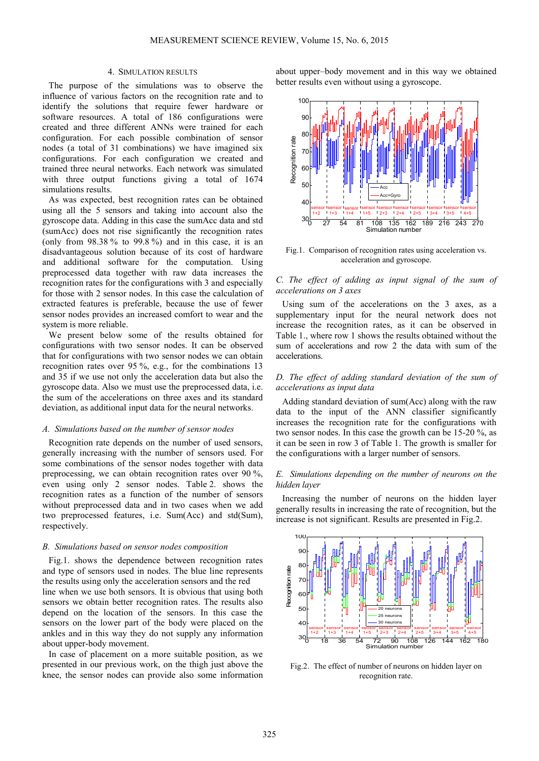#### 4. SIMULATION RESULTS

The purpose of the simulations was to observe the influence of various factors on the recognition rate and to identify the solutions that require fewer hardware or software resources. A total of 186 configurations were created and three different ANNs were trained for each configuration. For each possible combination of sensor nodes (a total of 31 combinations) we have imagined six configurations. For each configuration we created and trained three neural networks. Each network was simulated with three output functions giving a total of 1674 simulations results.

As was expected, best recognition rates can be obtained using all the 5 sensors and taking into account also the gyroscope data. Adding in this case the sumAcc data and std (sumAcc) does not rise significantly the recognition rates (only from 98.38 % to 99.8 %) and in this case, it is an disadvantageous solution because of its cost of hardware and additional software for the computation. Using preprocessed data together with raw data increases the recognition rates for the configurations with 3 and especially for those with 2 sensor nodes. In this case the calculation of extracted features is preferable, because the use of fewer sensor nodes provides an increased comfort to wear and the system is more reliable.

We present below some of the results obtained for configurations with two sensor nodes. It can be observed that for configurations with two sensor nodes we can obtain recognition rates over 95 %, e.g., for the combinations 13 and 35 if we use not only the acceleration data but also the gyroscope data. Also we must use the preprocessed data, i.e. the sum of the accelerations on three axes and its standard deviation, as additional input data for the neural networks.

#### *A. Simulations based on the number of sensor nodes*

Recognition rate depends on the number of used sensors, generally increasing with the number of sensors used. For some combinations of the sensor nodes together with data preprocessing, we can obtain recognition rates over 90 %, even using only 2 sensor nodes. Table 2. shows the recognition rates as a function of the number of sensors without preprocessed data and in two cases when we add two preprocessed features, i.e. Sum(Acc) and std(Sum), respectively.

#### *B. Simulations based on sensor nodes composition*

Fig.1. shows the dependence between recognition rates and type of sensors used in nodes. The blue line represents the results using only the acceleration sensors and the red line when we use both sensors. It is obvious that using both sensors we obtain better recognition rates. The results also depend on the location of the sensors. In this case the sensors on the lower part of the body were placed on the ankles and in this way they do not supply any information about upper-body movement.

In case of placement on a more suitable position, as we presented in our previous work, on the thigh just above the knee, the sensor nodes can provide also some information about upper–body movement and in this way we obtained better results even without using a gyroscope.



Fig.1. Comparison of recognition rates using acceleration vs. acceleration and gyroscope.

## *C. The effect of adding as input signal of the sum of accelerations on 3 axes*

Using sum of the accelerations on the 3 axes, as a supplementary input for the neural network does not increase the recognition rates, as it can be observed in Table 1., where row 1 shows the results obtained without the sum of accelerations and row 2 the data with sum of the accelerations.

#### *D. The effect of adding standard deviation of the sum of accelerations as input data*

Adding standard deviation of sum(Acc) along with the raw data to the input of the ANN classifier significantly increases the recognition rate for the configurations with two sensor nodes. In this case the growth can be 15-20 %, as it can be seen in row 3 of Table 1. The growth is smaller for the configurations with a larger number of sensors.

## *E. Simulations depending on the number of neurons on the hidden layer*

Increasing the number of neurons on the hidden layer generally results in increasing the rate of recognition, but the increase is not significant. Results are presented in Fig.2.



Fig.2. The effect of number of neurons on hidden layer on recognition rate.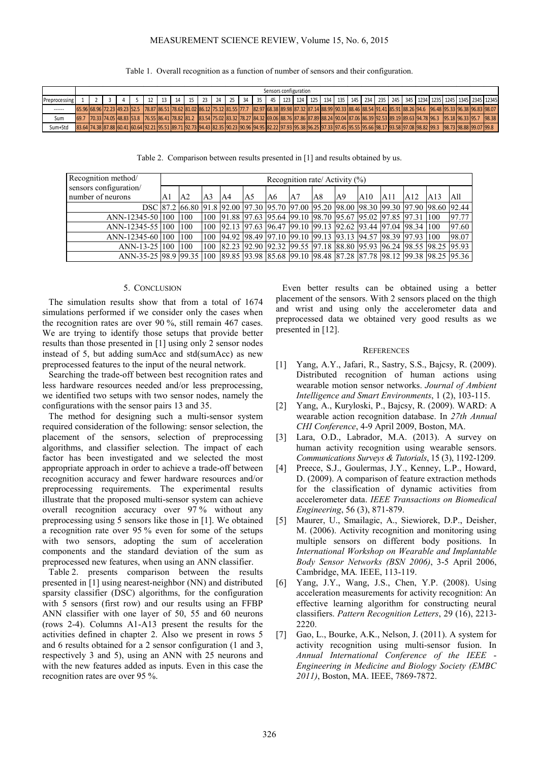## MEASUREMENT SCIENCE REVIEW, Volume 15, No. 6, 2015

|  | Table 1. Overall recognition as a function of number of sensors and their configuration. |  |  |  |  |
|--|------------------------------------------------------------------------------------------|--|--|--|--|
|  |                                                                                          |  |  |  |  |

|               | Sensors configuration                                                                                                                                                                                                          |  |  |  |  |  |               |    |    |      |    |                 |         |  |  |        |  |  |  |  |  |  |  |                                                                                                                                                                                   |
|---------------|--------------------------------------------------------------------------------------------------------------------------------------------------------------------------------------------------------------------------------|--|--|--|--|--|---------------|----|----|------|----|-----------------|---------|--|--|--------|--|--|--|--|--|--|--|-----------------------------------------------------------------------------------------------------------------------------------------------------------------------------------|
| Preprocessing |                                                                                                                                                                                                                                |  |  |  |  |  | $12 \quad 13$ | 14 | 15 | 23 I | 24 | 25 <sub>1</sub> | $34$ 35 |  |  | 45 123 |  |  |  |  |  |  |  | 124   125   134   135   145   234   235   245   345   1234   1235   1245   1345   2345   12345                                                                                    |
| $- - - - - -$ | 65.96 68.96 72.23 49.23 52.5 78.87 86.51 78.62 81.02 86.12 75.12 81.55 77.7                                                                                                                                                    |  |  |  |  |  |               |    |    |      |    |                 |         |  |  |        |  |  |  |  |  |  |  | '  82.97  68.38  89.98  87.32  87.14  88.99  90.33  88.46  88.54  91.41  85.91  88.26  94.6  96.48  95.33  96.38  96.83  98.07                                                    |
| Sum           | 69.7                                                                                                                                                                                                                           |  |  |  |  |  |               |    |    |      |    |                 |         |  |  |        |  |  |  |  |  |  |  | 170.33 74.05 48.83 53.8 75.55 86.41 78.82 81.2 83.54 75.02 83.32 78.27 84.32 69.06 88.76 87.86 87.89 88.24 90.04 87.06 86.39 92.53 89.19 89.63 94.78 96.33 95.18 96.33 95.7 98.38 |
| Sum+Std       | 8.88 99.07 [98.88] 87.88 [60.41 [60.64 [92.21 [95.51 [89.71 [92.73 ] 94.43 [82.35 [90.23 [90.96 [94.95 [82.22 ] 97.93 [95.38 ] 96.25 [97.33 [97.35] [97.35 [97.35] [97.35] [97.35] [97.35] [97.55] [95.56 [98.17 [93.58 [97.08 |  |  |  |  |  |               |    |    |      |    |                 |         |  |  |        |  |  |  |  |  |  |  |                                                                                                                                                                                   |

Table 2. Comparison between results presented in [1] and results obtained by us.

| Recognition method/                                                                        |    | Recognition rate/ Activity $(\% )$ |                |    |    |                                                                                 |    |    |    |     |     |     |     |       |  |  |
|--------------------------------------------------------------------------------------------|----|------------------------------------|----------------|----|----|---------------------------------------------------------------------------------|----|----|----|-----|-----|-----|-----|-------|--|--|
| sensors configuration/                                                                     |    |                                    |                |    |    |                                                                                 |    |    |    |     |     |     |     |       |  |  |
| number of neurons                                                                          | A1 | A <sub>2</sub>                     | A <sub>3</sub> | A4 | A5 | A6                                                                              | A7 | A8 | A9 | A10 | A11 | A12 | A13 | All   |  |  |
|                                                                                            |    |                                    |                |    |    | DSC 87.2 66.80 91.8 92.00 97.30 95.70 97.00 95.20 98.00 98.30 99.30 97.90 98.60 |    |    |    |     |     |     |     | 92.44 |  |  |
| ANN-12345-50 100                                                                           |    | 100                                | 100            |    |    | 91.88 97.63 95.64 99.10 98.70 95.67 95.02 97.85 97.31 100                       |    |    |    |     |     |     |     | 97.77 |  |  |
| ANN-12345-55 100                                                                           |    | 100                                | 100            |    |    | 92.13 97.63 96.47 99.10 99.13 92.62 93.44 97.04 98.34 100                       |    |    |    |     |     |     |     | 97.60 |  |  |
| ANN-12345-60 100                                                                           |    | 100                                | 100            |    |    | 94.92 98.49 97.10 99.10 99.13 93.13 94.57 98.39 97.93 100                       |    |    |    |     |     |     |     | 98.07 |  |  |
| ANN-13-25 100                                                                              |    | 100                                | 100            |    |    | 82.23  92.90  92.32  99.55  97.18  88.80  95.93  96.24  98.55  98.25            |    |    |    |     |     |     |     | 95.93 |  |  |
| ANN-35-25 98.9 99.35 100 89.85 93.98 85.68 99.10 98.48 87.28 87.78 98.12 99.38 98.25 95.36 |    |                                    |                |    |    |                                                                                 |    |    |    |     |     |     |     |       |  |  |

#### 5. CONCLUSION

The simulation results show that from a total of 1674 simulations performed if we consider only the cases when the recognition rates are over 90 %, still remain 467 cases. We are trying to identify those setups that provide better results than those presented in [1] using only 2 sensor nodes instead of 5, but adding sumAcc and std(sumAcc) as new preprocessed features to the input of the neural network.

Searching the trade-off between best recognition rates and less hardware resources needed and/or less preprocessing, we identified two setups with two sensor nodes, namely the configurations with the sensor pairs 13 and 35.

The method for designing such a multi-sensor system required consideration of the following: sensor selection, the placement of the sensors, selection of preprocessing algorithms, and classifier selection. The impact of each factor has been investigated and we selected the most appropriate approach in order to achieve a trade-off between recognition accuracy and fewer hardware resources and/or preprocessing requirements. The experimental results illustrate that the proposed multi-sensor system can achieve overall recognition accuracy over 97 % without any preprocessing using 5 sensors like those in [1]. We obtained a recognition rate over 95 % even for some of the setups with two sensors, adopting the sum of acceleration components and the standard deviation of the sum as preprocessed new features, when using an ANN classifier.

Table 2. presents comparison between the results presented in [1] using nearest-neighbor (NN) and distributed sparsity classifier (DSC) algorithms, for the configuration with 5 sensors (first row) and our results using an FFBP ANN classifier with one layer of 50, 55 and 60 neurons (rows 2-4). Columns A1-A13 present the results for the activities defined in chapter 2. Also we present in rows 5 and 6 results obtained for a 2 sensor configuration (1 and 3, respectively 3 and 5), using an ANN with 25 neurons and with the new features added as inputs. Even in this case the recognition rates are over 95 %.

Even better results can be obtained using a better placement of the sensors. With 2 sensors placed on the thigh and wrist and using only the accelerometer data and preprocessed data we obtained very good results as we presented in [12].

#### **REFERENCES**

- [1] Yang, A.Y., Jafari, R., Sastry, S.S., Bajcsy, R. (2009). Distributed recognition of human actions using wearable motion sensor networks. *Journal of Ambient Intelligence and Smart Environments*, 1 (2), 103-115.
- [2] Yang, A., Kuryloski, P., Bajcsy, R. (2009). WARD: A wearable action recognition database. In *27th Annual CHI Conference*, 4-9 April 2009, Boston, MA.
- [3] Lara, O.D., Labrador, M.A. (2013). A survey on human activity recognition using wearable sensors. *Communications Surveys & Tutorials*, 15 (3), 1192-1209.
- [4] Preece, S.J., Goulermas, J.Y., Kenney, L.P., Howard, D. (2009). A comparison of feature extraction methods for the classification of dynamic activities from accelerometer data. *IEEE Transactions on Biomedical Engineering*, 56 (3), 871-879.
- [5] Maurer, U., Smailagic, A., Siewiorek, D.P., Deisher, M. (2006). Activity recognition and monitoring using multiple sensors on different body positions. In *International Workshop on Wearable and Implantable Body Sensor Networks (BSN 2006)*, 3-5 April 2006, Cambridge, MA*.* IEEE, 113-119.
- [6] Yang, J.Y., Wang, J.S., Chen, Y.P. (2008). Using acceleration measurements for activity recognition: An effective learning algorithm for constructing neural classifiers. *Pattern Recognition Letters*, 29 (16), 2213- 2220.
- [7] Gao, L., Bourke, A.K., Nelson, J. (2011). A system for activity recognition using multi-sensor fusion. In *Annual International Conference of the IEEE* - *Engineering in Medicine and Biology Society (EMBC 2011)*, Boston, MA. IEEE, 7869-7872.